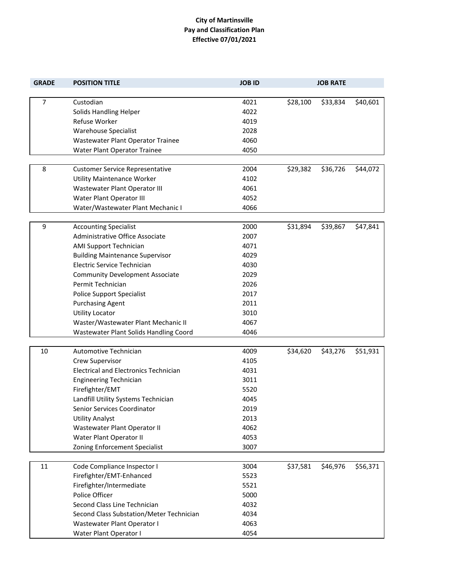## **City of Martinsville Pay and Classification Plan Effective 07/01/2021**

| <b>GRADE</b>   | <b>POSITION TITLE</b>                                     | <b>JOB ID</b> |          | <b>JOB RATE</b> |          |
|----------------|-----------------------------------------------------------|---------------|----------|-----------------|----------|
|                |                                                           |               |          |                 |          |
| $\overline{7}$ | Custodian                                                 | 4021          | \$28,100 | \$33,834        | \$40,601 |
|                | Solids Handling Helper                                    | 4022          |          |                 |          |
|                | Refuse Worker                                             | 4019          |          |                 |          |
|                | <b>Warehouse Specialist</b>                               | 2028          |          |                 |          |
|                | Wastewater Plant Operator Trainee                         | 4060          |          |                 |          |
|                | Water Plant Operator Trainee                              | 4050          |          |                 |          |
| 8              |                                                           | 2004          |          |                 |          |
|                | <b>Customer Service Representative</b>                    |               | \$29,382 | \$36,726        | \$44,072 |
|                | Utility Maintenance Worker                                | 4102<br>4061  |          |                 |          |
|                | Wastewater Plant Operator III<br>Water Plant Operator III | 4052          |          |                 |          |
|                | Water/Wastewater Plant Mechanic I                         | 4066          |          |                 |          |
|                |                                                           |               |          |                 |          |
| 9              | <b>Accounting Specialist</b>                              | 2000          | \$31,894 | \$39,867        | \$47,841 |
|                | Administrative Office Associate                           | 2007          |          |                 |          |
|                | AMI Support Technician                                    | 4071          |          |                 |          |
|                | <b>Building Maintenance Supervisor</b>                    | 4029          |          |                 |          |
|                | Electric Service Technician                               | 4030          |          |                 |          |
|                | <b>Community Development Associate</b>                    | 2029          |          |                 |          |
|                | Permit Technician                                         | 2026          |          |                 |          |
|                | <b>Police Support Specialist</b>                          | 2017          |          |                 |          |
|                | <b>Purchasing Agent</b>                                   | 2011          |          |                 |          |
|                | <b>Utility Locator</b>                                    | 3010          |          |                 |          |
|                | Waster/Wastewater Plant Mechanic II                       | 4067          |          |                 |          |
|                | Wastewater Plant Solids Handling Coord                    | 4046          |          |                 |          |
|                |                                                           |               |          |                 |          |
| 10             | Automotive Technician                                     | 4009          | \$34,620 | \$43,276        | \$51,931 |
|                | Crew Supervisor                                           | 4105          |          |                 |          |
|                | <b>Electrical and Electronics Technician</b>              | 4031          |          |                 |          |
|                | <b>Engineering Technician</b>                             | 3011          |          |                 |          |
|                | Firefighter/EMT                                           | 5520          |          |                 |          |
|                | Landfill Utility Systems Technician                       | 4045          |          |                 |          |
|                | Senior Services Coordinator                               | 2019          |          |                 |          |
|                | <b>Utility Analyst</b>                                    | 2013          |          |                 |          |
|                | Wastewater Plant Operator II                              | 4062          |          |                 |          |
|                | Water Plant Operator II                                   | 4053          |          |                 |          |
|                | Zoning Enforcement Specialist                             | 3007          |          |                 |          |
|                |                                                           |               |          |                 |          |
| 11             | Code Compliance Inspector I                               | 3004          | \$37,581 | \$46,976        | \$56,371 |
|                | Firefighter/EMT-Enhanced                                  | 5523          |          |                 |          |
|                | Firefighter/Intermediate                                  | 5521          |          |                 |          |
|                | Police Officer                                            | 5000          |          |                 |          |
|                | Second Class Line Technician                              | 4032          |          |                 |          |
|                | Second Class Substation/Meter Technician                  | 4034          |          |                 |          |
|                | Wastewater Plant Operator I                               | 4063          |          |                 |          |
|                | Water Plant Operator I                                    | 4054          |          |                 |          |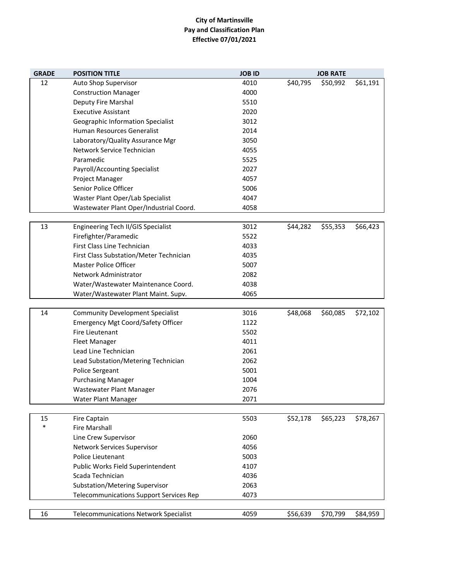## **City of Martinsville Pay and Classification Plan Effective 07/01/2021**

| <b>GRADE</b> | <b>POSITION TITLE</b>                          | <b>JOB ID</b> |          | <b>JOB RATE</b> |          |
|--------------|------------------------------------------------|---------------|----------|-----------------|----------|
| 12           | Auto Shop Supervisor                           | 4010          | \$40,795 | \$50,992        | \$61,191 |
|              | <b>Construction Manager</b>                    | 4000          |          |                 |          |
|              | Deputy Fire Marshal                            | 5510          |          |                 |          |
|              | <b>Executive Assistant</b>                     | 2020          |          |                 |          |
|              | Geographic Information Specialist              | 3012          |          |                 |          |
|              | Human Resources Generalist                     | 2014          |          |                 |          |
|              | Laboratory/Quality Assurance Mgr               | 3050          |          |                 |          |
|              | Network Service Technician                     | 4055          |          |                 |          |
|              | Paramedic                                      | 5525          |          |                 |          |
|              | Payroll/Accounting Specialist                  | 2027          |          |                 |          |
|              | Project Manager                                | 4057          |          |                 |          |
|              | Senior Police Officer                          | 5006          |          |                 |          |
|              | Waster Plant Oper/Lab Specialist               | 4047          |          |                 |          |
|              | Wastewater Plant Oper/Industrial Coord.        | 4058          |          |                 |          |
|              |                                                |               |          |                 |          |
| 13           | Engineering Tech II/GIS Specialist             | 3012          | \$44,282 | \$55,353        | \$66,423 |
|              | Firefighter/Paramedic                          | 5522          |          |                 |          |
|              | First Class Line Technician                    | 4033          |          |                 |          |
|              | First Class Substation/Meter Technician        | 4035          |          |                 |          |
|              | <b>Master Police Officer</b>                   | 5007          |          |                 |          |
|              | Network Administrator                          | 2082          |          |                 |          |
|              | Water/Wastewater Maintenance Coord.            | 4038          |          |                 |          |
|              | Water/Wastewater Plant Maint. Supv.            | 4065          |          |                 |          |
|              |                                                |               |          |                 |          |
| 14           | <b>Community Development Specialist</b>        | 3016          | \$48,068 | \$60,085        | \$72,102 |
|              | <b>Emergency Mgt Coord/Safety Officer</b>      | 1122          |          |                 |          |
|              | Fire Lieutenant                                | 5502          |          |                 |          |
|              | <b>Fleet Manager</b>                           | 4011          |          |                 |          |
|              | Lead Line Technician                           | 2061          |          |                 |          |
|              | Lead Substation/Metering Technician            | 2062          |          |                 |          |
|              | Police Sergeant                                | 5001          |          |                 |          |
|              | <b>Purchasing Manager</b>                      | 1004          |          |                 |          |
|              | Wastewater Plant Manager                       | 2076          |          |                 |          |
|              | Water Plant Manager                            | 2071          |          |                 |          |
|              |                                                |               |          |                 |          |
| 15<br>$\ast$ | <b>Fire Captain</b>                            | 5503          | \$52,178 | \$65,223        | \$78,267 |
|              | <b>Fire Marshall</b>                           |               |          |                 |          |
|              | Line Crew Supervisor                           | 2060          |          |                 |          |
|              | Network Services Supervisor                    | 4056          |          |                 |          |
|              | Police Lieutenant                              | 5003          |          |                 |          |
|              | Public Works Field Superintendent              | 4107          |          |                 |          |
|              | Scada Technician                               | 4036          |          |                 |          |
|              | Substation/Metering Supervisor                 | 2063          |          |                 |          |
|              | <b>Telecommunications Support Services Rep</b> | 4073          |          |                 |          |
| 16           | <b>Telecommunications Network Specialist</b>   | 4059          | \$56,639 | \$70,799        | \$84,959 |
|              |                                                |               |          |                 |          |